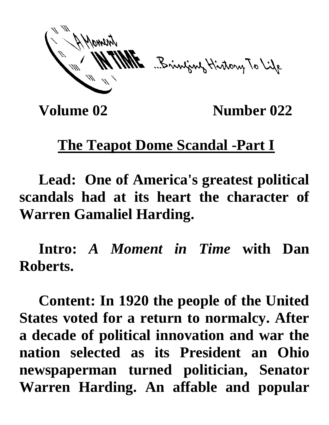ME Bringwy History To Life

**Volume 02** Number 022

## **The Teapot Dome Scandal -Part I**

**Lead: One of America's greatest political scandals had at its heart the character of Warren Gamaliel Harding.**

**Intro:** *A Moment in Time* **with Dan Roberts.**

**Content: In 1920 the people of the United States voted for a return to normalcy. After a decade of political innovation and war the nation selected as its President an Ohio newspaperman turned politician, Senator Warren Harding. An affable and popular**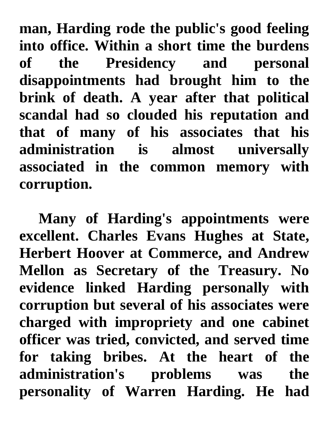**man, Harding rode the public's good feeling into office. Within a short time the burdens of the Presidency and personal disappointments had brought him to the brink of death. A year after that political scandal had so clouded his reputation and that of many of his associates that his administration is almost universally associated in the common memory with corruption.**

**Many of Harding's appointments were excellent. Charles Evans Hughes at State, Herbert Hoover at Commerce, and Andrew Mellon as Secretary of the Treasury. No evidence linked Harding personally with corruption but several of his associates were charged with impropriety and one cabinet officer was tried, convicted, and served time for taking bribes. At the heart of the administration's problems was the personality of Warren Harding. He had**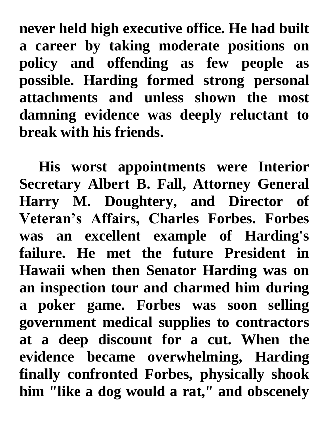**never held high executive office. He had built a career by taking moderate positions on policy and offending as few people as possible. Harding formed strong personal attachments and unless shown the most damning evidence was deeply reluctant to break with his friends.** 

**His worst appointments were Interior Secretary Albert B. Fall, Attorney General Harry M. Doughtery, and Director of Veteran's Affairs, Charles Forbes. Forbes was an excellent example of Harding's failure. He met the future President in Hawaii when then Senator Harding was on an inspection tour and charmed him during a poker game. Forbes was soon selling government medical supplies to contractors at a deep discount for a cut. When the evidence became overwhelming, Harding finally confronted Forbes, physically shook him "like a dog would a rat," and obscenely**